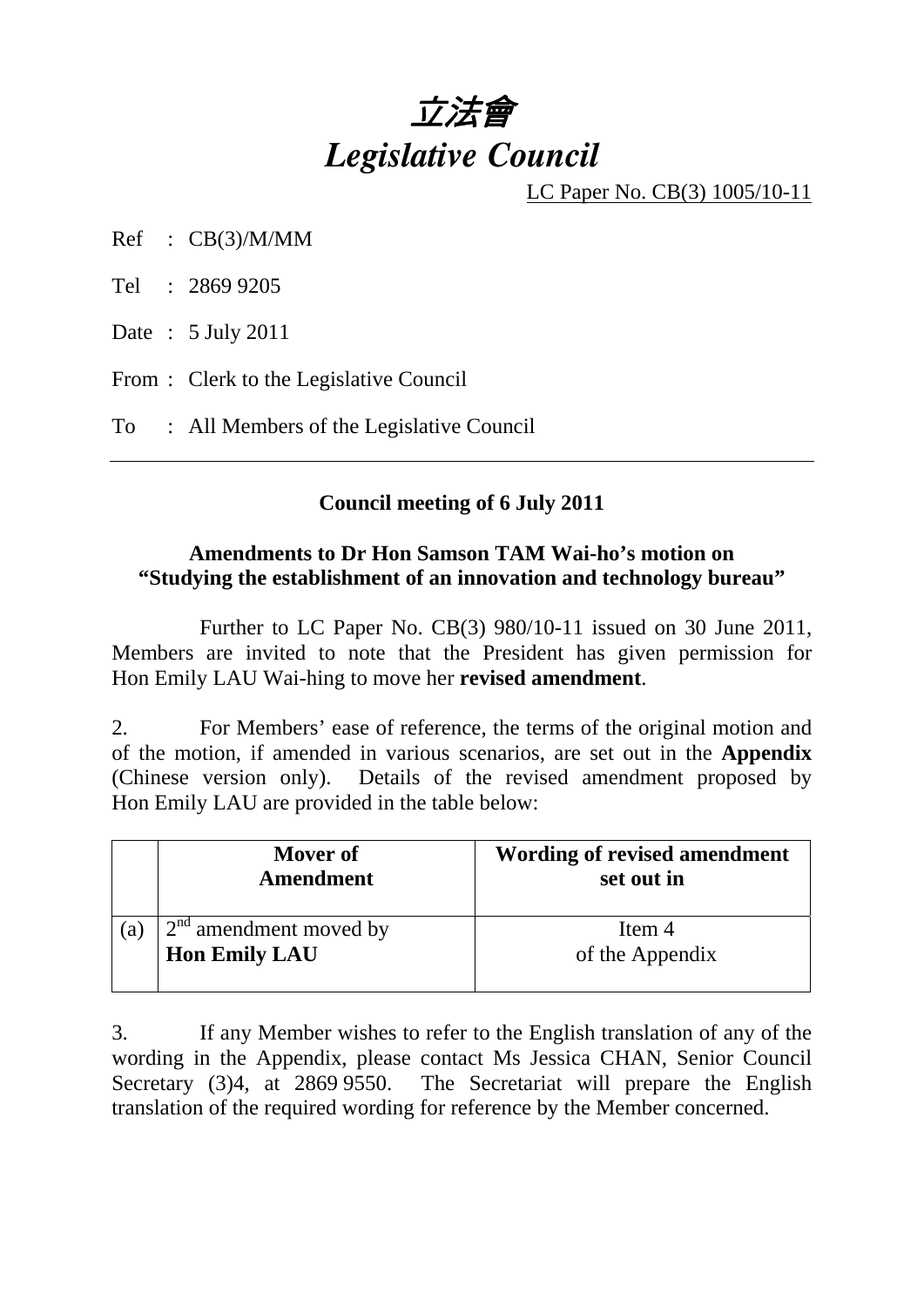

LC Paper No. CB(3) 1005/10-11

Ref : CB(3)/M/MM

Tel : 2869 9205

Date : 5 July 2011

From : Clerk to the Legislative Council

To : All Members of the Legislative Council

## **Council meeting of 6 July 2011**

## **Amendments to Dr Hon Samson TAM Wai-ho's motion on "Studying the establishment of an innovation and technology bureau"**

 Further to LC Paper No. CB(3) 980/10-11 issued on 30 June 2011, Members are invited to note that the President has given permission for Hon Emily LAU Wai-hing to move her **revised amendment**.

2. For Members' ease of reference, the terms of the original motion and of the motion, if amended in various scenarios, are set out in the **Appendix**  (Chinese version only). Details of the revised amendment proposed by Hon Emily LAU are provided in the table below:

|     | Mover of<br><b>Amendment</b> | Wording of revised amendment<br>set out in |
|-----|------------------------------|--------------------------------------------|
| (a) | $2nd$ amendment moved by     | Item 4                                     |
|     | <b>Hon Emily LAU</b>         | of the Appendix                            |

3. If any Member wishes to refer to the English translation of any of the wording in the Appendix, please contact Ms Jessica CHAN, Senior Council Secretary (3)4, at 2869 9550. The Secretariat will prepare the English translation of the required wording for reference by the Member concerned.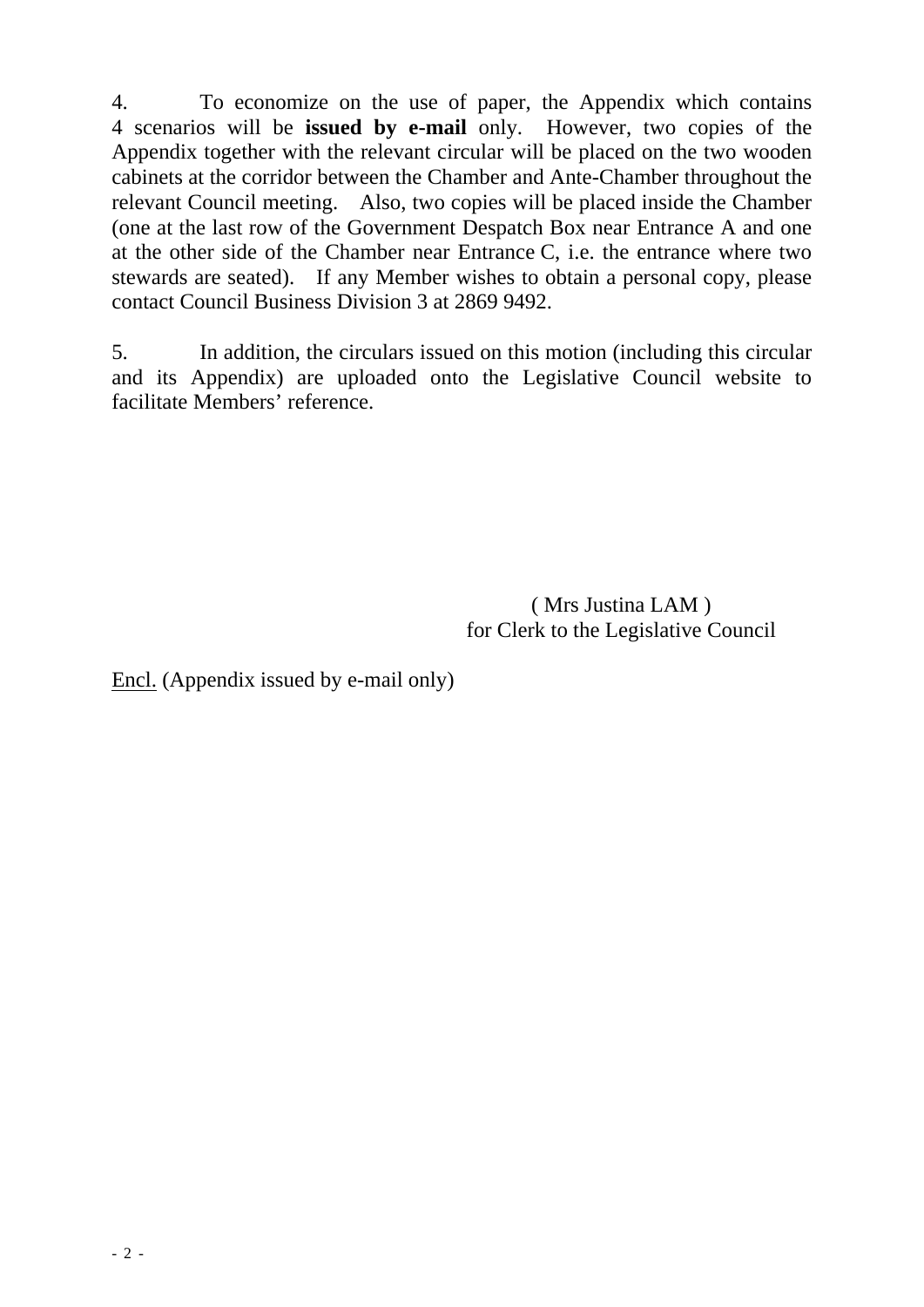4. To economize on the use of paper, the Appendix which contains 4 scenarios will be **issued by e-mail** only. However, two copies of the Appendix together with the relevant circular will be placed on the two wooden cabinets at the corridor between the Chamber and Ante-Chamber throughout the relevant Council meeting. Also, two copies will be placed inside the Chamber (one at the last row of the Government Despatch Box near Entrance A and one at the other side of the Chamber near Entrance C, i.e. the entrance where two stewards are seated). If any Member wishes to obtain a personal copy, please contact Council Business Division 3 at 2869 9492.

5. In addition, the circulars issued on this motion (including this circular and its Appendix) are uploaded onto the Legislative Council website to facilitate Members' reference.

> ( Mrs Justina LAM ) for Clerk to the Legislative Council

Encl. (Appendix issued by e-mail only)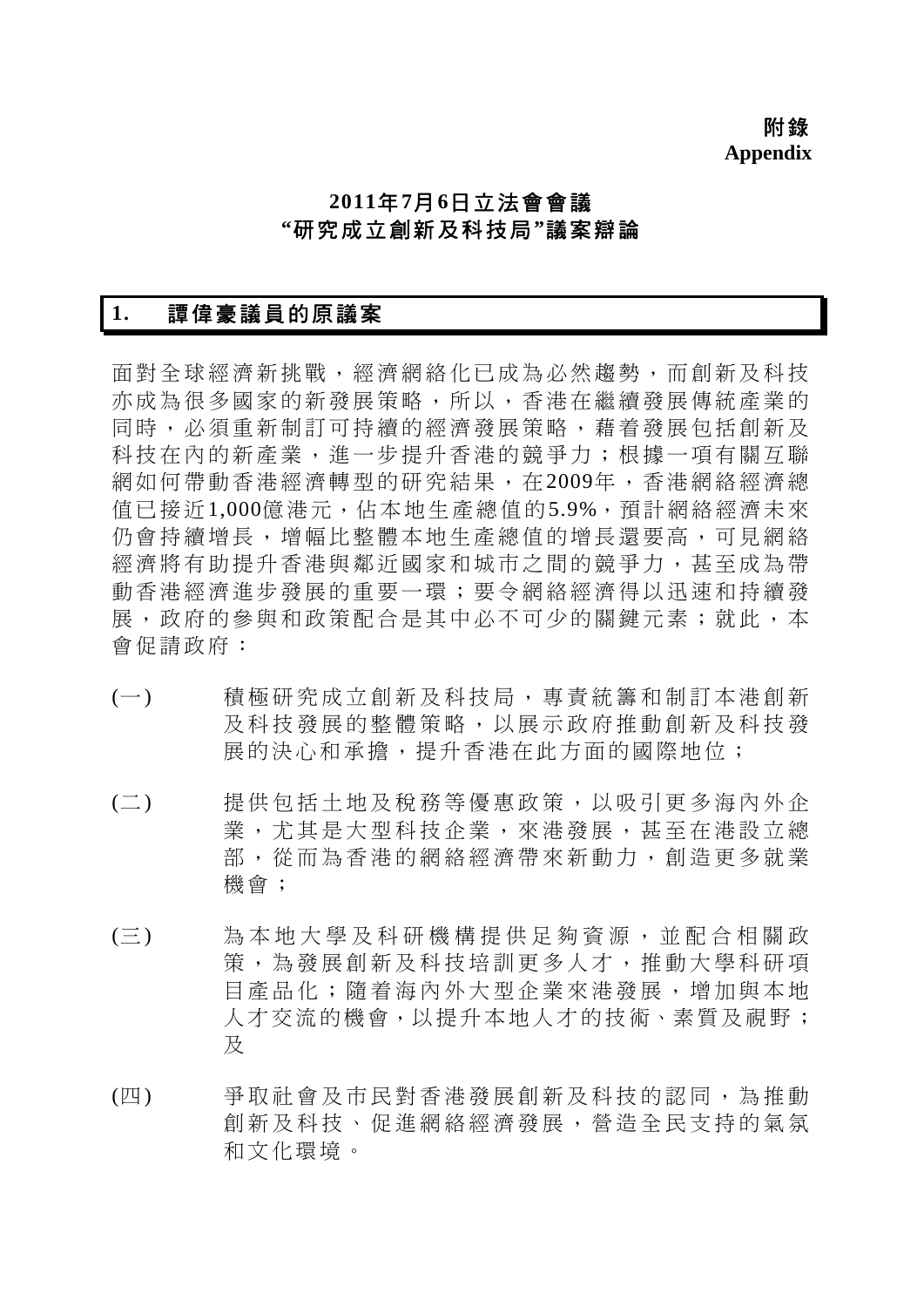附錄 **Appendix** 

## **2011**年**7**月**6**日立法會會議 **"**研究成立創新及科技局**"**議案辯論

### **1.** 譚偉豪議員的原議案

面對全球經濟新挑戰,經濟網絡化已成為必然趨勢,而創新及科技 亦成為很多國家的新發展策略,所以,香港在繼續發展傳統產業的 同時,必須重新制訂可持續的經濟發展策略,藉着發展包括創新及 科技在內的新產業,進一步提升香港的競爭力;根據一項有關互聯 網如何帶動香港經濟轉型的研究結果,在2009年,香港網絡經濟總 值已接近1,000億港元,佔本地生產總值的5.9%,預計網絡經濟未來 仍會持續增長,增幅比整體本地生產總值的增長還要高,可見網絡 經濟將有助提升香港與鄰近國家和城市之間的競爭力,甚至成為帶 動香港經濟進步發展的重要一環;要令網絡經濟得以迅速和持續發 展,政府的參與和政策配合是其中必不可少的關鍵元素;就此,本 會促請政府:

- (一) 積極研究成立創新及科技局 ,專責統籌和制訂本港創新 及科技發展的整體策略,以 展示政府推動創新及科技發 展的決心和承擔,提升香港在此方面的國際地位;
- (二) 提供包括土地及稅務等優惠 政策,以吸引更多海內外企 業,尤其是大型科技企業, 來港發展,甚至在港設立總 部,從而為香港的網絡經濟 帶來新動力,創造更多就業 機會;
- (三) 為本地大學及科研機構提供 足夠資源,並配合相關政 策,為發展創新及科技培訓更多人才,推動大學科研項 目產品化;隨着海內外大型 企業來港發展,增加與本地 人才交流的機會,以提升本地人才的技術、素質及視野; 及
- (四) 爭取社會及市民對香港發展 創新及科技的認同,為推動 創新及科技、促進網絡經濟 發展,營造全民支持的氣氛 和文化環境。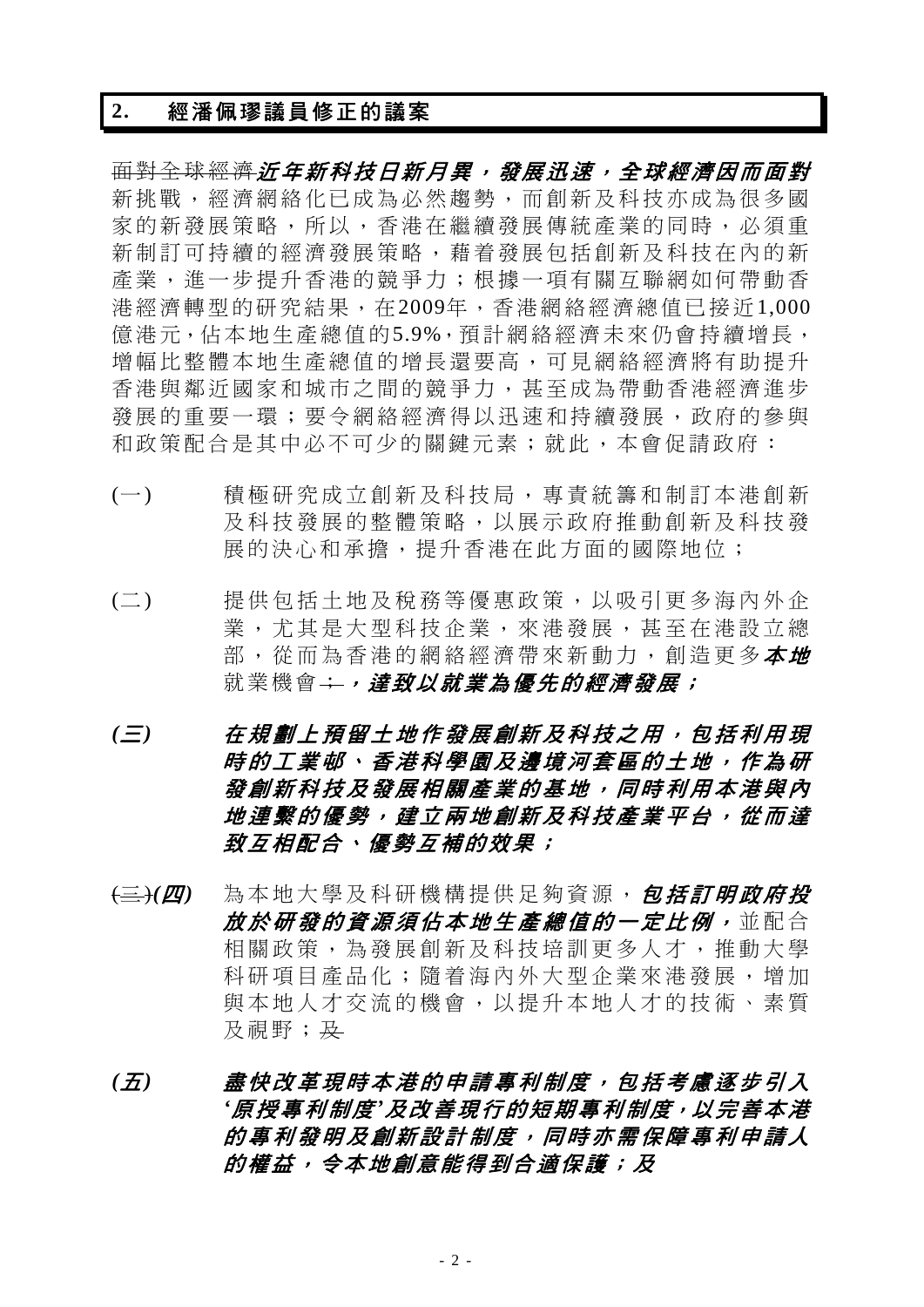#### **2.** 經潘佩璆議員修正的議案

面對全球經濟近年新科技日新月異,發展迅速,全球經濟因而面對 新挑戰,經濟網絡化已成為必然趨勢,而創新及科技亦成為很多國 家的新發展策略,所以,香港在繼續發展傳統產業的同時,必須重 新制訂可持續的經濟發展策略,藉着發展包括創新及科技在內的新 產業,進一步提升香港的競爭力;根據一項有關互聯網如何帶動香 港經濟轉型的研究結果,在2009年,香港網絡經濟總值已接近1,000 億港元,佔本地生產總值的5.9%,預計網絡經濟未來仍會持續增長, 增幅比整體本地生產總值的增長還要高,可見網絡經濟將有助提升 香港與鄰近國家和城市之間的競爭力,甚至成為帶動香港經濟進步 發展的重要一環;要令網絡經濟得以迅速和持續發展,政府的參與 和政策配合是其中必不可少的關鍵元素;就此,本會促請政府:

- (一) 積極研究成立創新及科技局 ,專責統籌和制訂本港創新 及科技發展的整體策略,以展示政府推動創新及科技發 展的決心和承擔,提升香港在此方面的國際地位;
- (二) 提供包括土地及稅務等優惠 政策,以吸引更多海內外企 業,尤其是大型科技企業, 來港發展,甚至在港設立總 部, 從而為香港的網絡經濟帶來新動力, 創造更多*本地* 就業機會<del>;,達致以就業為*優先的經濟發展;*</del>
- *(*三*)* 在規劃上預留土地作發展創 新及科技之用,包括利用現 時的工業邨、香港科學園及邊境河套區的土地,作為研 發創新科技及發展相關產業 的基地,同時利用本港與內 地連繫的優勢,建立兩地創新及科技產業平台,從而達 致互相配合、優勢互補的效果;
- (三)*(*四*)* 為本地大學及科研機構提供足夠資源, 包括訂明政府投 放於研發的資源須佔本地生產總值的一定比例, 並配合 相關政策,為發展創新及科技培訓更多人才,推動大學 科研項目產品化;隨着海內 外大型企業來港發展,增加 與本地人才交流的機會,以 提升本地人才的技術、素質 及視野; 及
- *(*五*)* 盡快改革現時本港的申請專 利制度,包括考慮逐步引入 *'*原授專利制度*'*及改善現行的短期專利制度,以完善本港 的專利發明及創新設計制度 ,同時亦需保障專利申請人 的權益,令本地創意能得到合適保護;及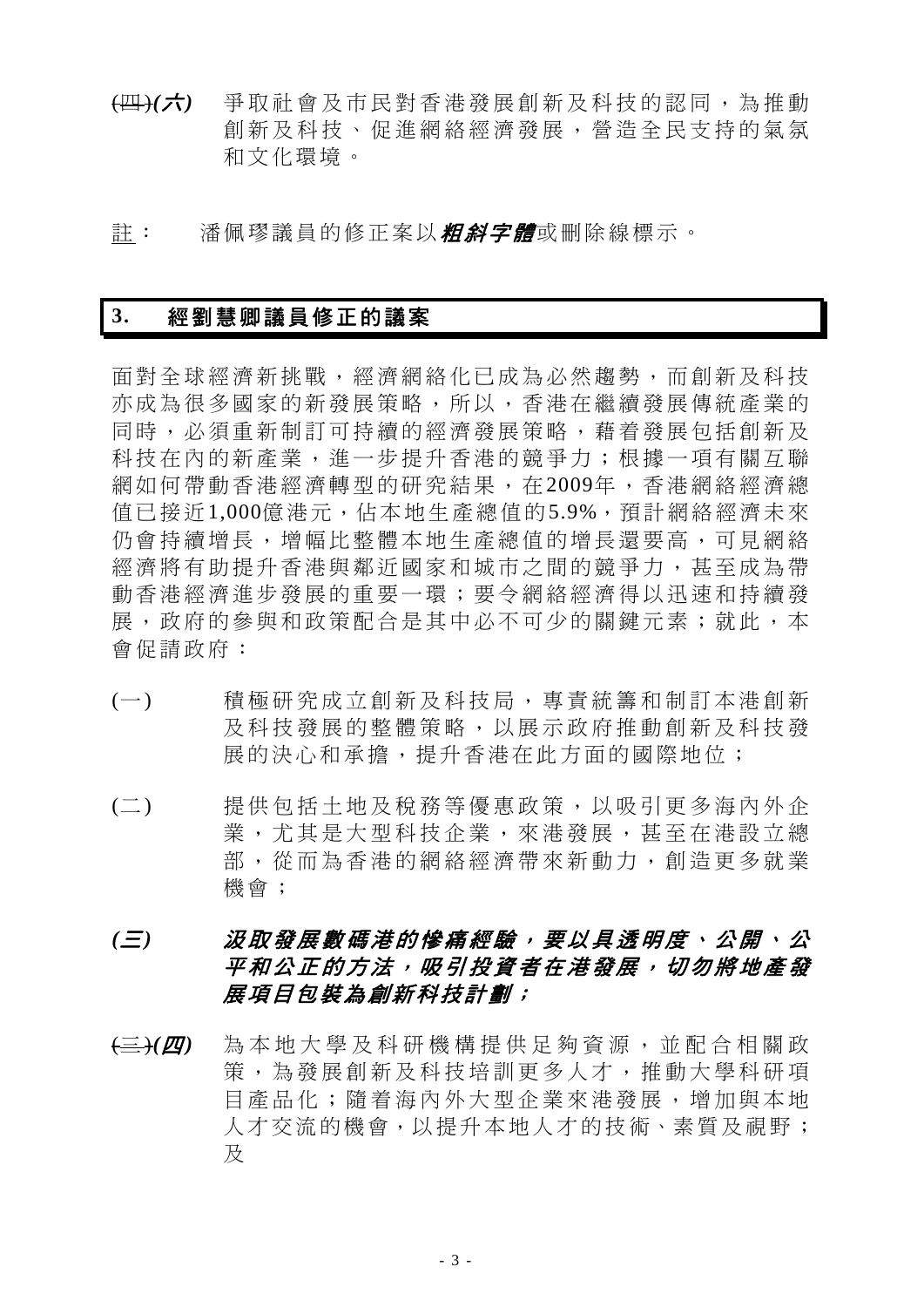- (四)*(*六*)* 爭取社會及市民對香港發展 創新及科技的認同,為推動 創新及科技、促進網絡經濟 發展,營造全民支持的氣氛 和文化環境。
- 註: 潘佩璆議員的修正案以*粗斜字體*或刪除線標示。

## **3.** 經劉慧卿議員修正的議案

面對全球經濟新挑戰,經濟網絡化已成為必然趨勢,而創新及科技 亦成為很多國家的新發展策略,所以,香港在繼續發展傳統產業的 同時,必須重新制訂可持續的經濟發展策略,藉着發展包括創新及 科技在內的新產業,進一步提升香港的競爭力;根據一項有關互聯 網如何帶動香港經濟轉型的研究結果,在2009年,香港網絡經濟總 值已接近1,000億港元,佔本地生產總值的5.9%,預計網絡經濟未來 仍會持續增長,增幅比整體本地生產總值的增長還要高,可見網絡 經濟將有助提升香港與鄰近國家和城市之間的競爭力,甚至成為帶 動香港經濟進步發展的重要一環;要令網絡經濟得以迅速和持續發 展,政府的參與和政策配合是其中必不可少的關鍵元素;就此,本 會促請政府:

- (一) 積極研究成立創新及科技局 ,專責統籌和制訂本港創新 及科技發展的整體策略,以 展示政府推動創新及科技發 展的決心和承擔,提升香港在此方面的國際地位;
- (二) 提供包括土地及稅務等優惠 政策,以吸引更多海內外企 業,尤其是大型科技企業,來港發展,甚至在港設立總 部,從而為香港的網絡經濟 帶來新動力,創造更多就業 機會;
- *(三) 汲取發展數碼港的慘痛經驗,要以具透明度、公開、公* 平和公正的方法,吸引投資者在港發展,切勿將地產發 展項目包裝為創新科技計劃;
- (三)*(*四*)* 為本地大學及科研機構提供 足夠資源,並配合相關政 策,為發展創新及科技培訓更多人才,推動大學科研項 目產品化;隨着海內外大型 企業來港發展,增加與本地 人才交流的機會,以提升本地人才的技術、素質及視野; 及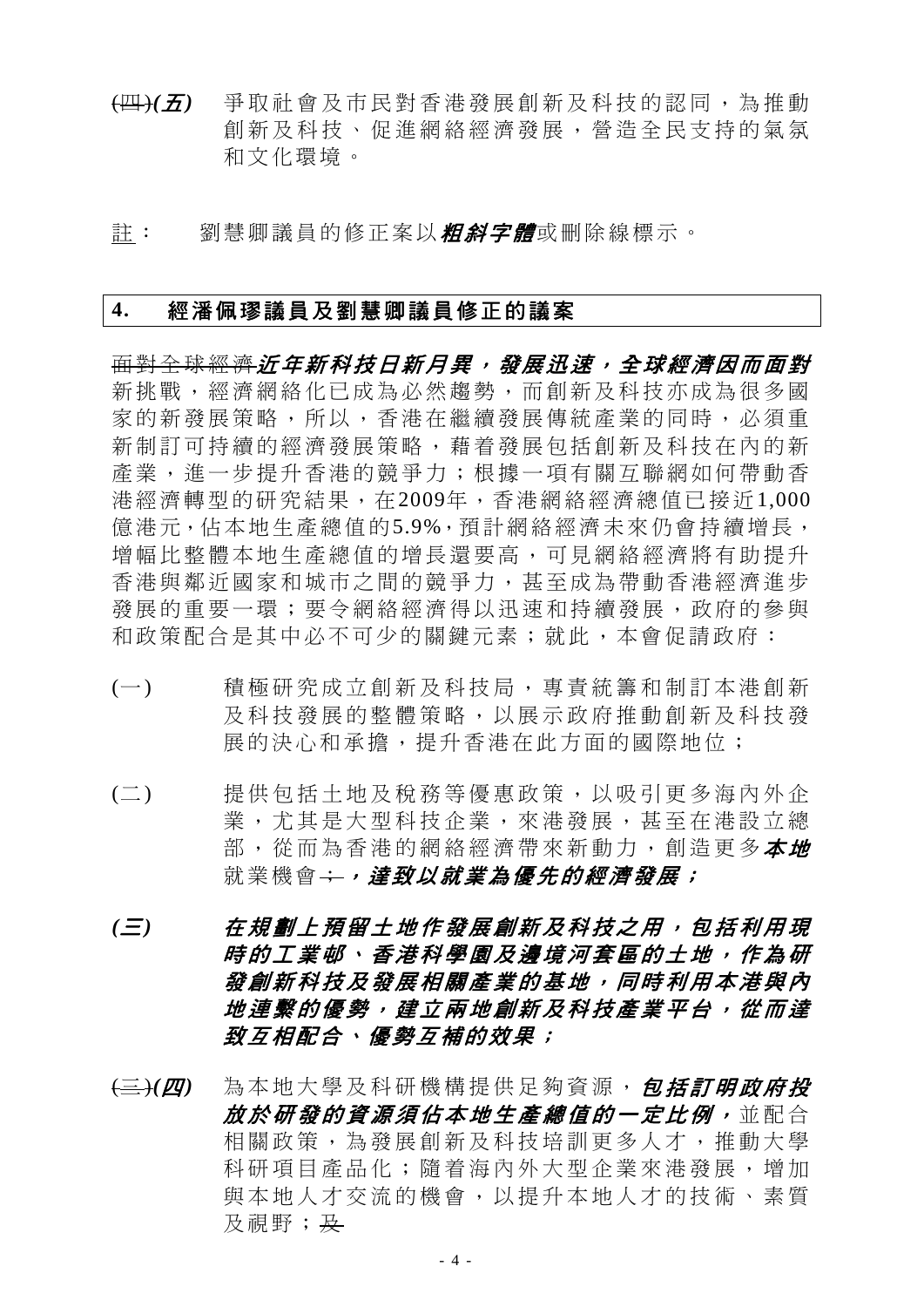- (四)*(*五*)* 爭取社會及市民對香港發展 創新及科技的認同,為推動 創新及科技、促進網絡經濟 發展,營造全民支持的氣氛 和文化環境。
- 註: 劉慧卿議員的修正案以*粗斜字體*或刪除線標示。

#### **4.** 經潘佩璆議員及劉慧卿議員修正的議案

面對全球經濟近年新科技日新月異,發展迅速,全球經濟因而面對 新挑戰,經濟網絡化已成為必然趨勢,而創新及科技亦成為很多國 家的新發展策略,所以,香港在繼續發展傳統產業的同時,必須重 新制訂可持續的經濟發展策略,藉着發展包括創新及科技在內的新 產業,進一步提升香港的競爭力;根據一項有關互聯網如何帶動香 港經濟轉型的研究結果,在2009年,香港網絡經濟總值已接近1,000 億港元,佔本地生產總值的5.9%,預計網絡經濟未來仍會持續增長, 增幅比整體本地生產總值的增長還要高,可見網絡經濟將有助提升 香港與鄰近國家和城市之間的競爭力,甚至成為帶動香港經濟進步 發展的重要一環;要令網絡經濟得以迅速和持續發展,政府的參與 和政策配合是其中必不可少的關鍵元素;就此,本會促請政府:

- (一) 積極研究成立創新及科技局 ,專責統籌和制訂本港創新 及科技發展的整體策略,以展示政府推動創新及科技發 展的決心和承擔,提升香港在此方面的國際地位;
- (二) 提供包括土地及稅務等優惠 政策,以吸引更多海內外企 業,尤其是大型科技企業, 來港發展,甚至在港設立總 部, 從而為香港的網絡經濟帶來新動力, 創造更多**本地** 就業機會;,,達致以就業為優先的經濟發展;
- *(*三*)* 在規劃上預留土地作發展創 新及科技之用,包括利用現 時的工業邨、香港科學園及邊境河套區的土地,作為研 發創新科技及發展相關產業 的基地,同時利用本港與內 地連繫的優勢,建立兩地創新及科技產業平台,從而達 **致互相配合、優勢互補的效果;**
- (三)*(*四*)* 為本地大學及科研機構提供足夠資源, 包括訂明政府投 放於研發的資源須佔本地生產總值的一定比例, 並配合 相關政策,為發展創新及科技培訓更多人才,推動大學 科研項目產品化;隨着海內外大型企業來港發展,增加 與本地人才交流的機會,以提升本地人才的技術、素質 及視野; 及